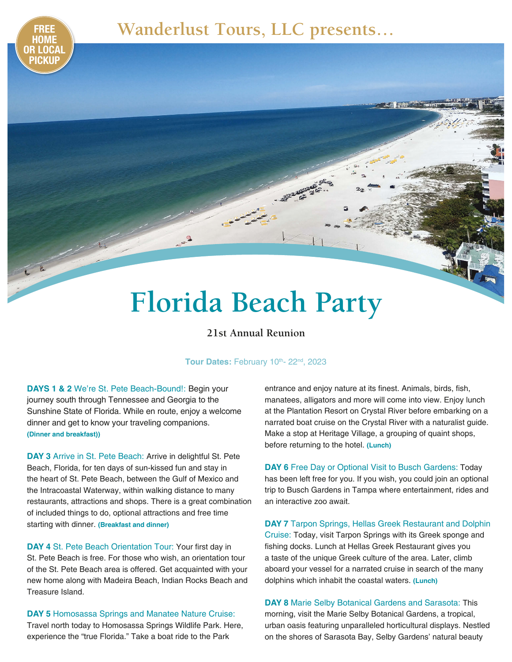## **FREE Wanderlust Tours, LLC presents…**

# **Florida Beach Party**

#### **21st Annual Reunion**

#### Tour Dates: February 10th- 22nd, 2023

**DAYS 1 & 2** We're St. Pete Beach-Bound!: Begin your journey south through Tennessee and Georgia to the Sunshine State of Florida. While en route, enjoy a welcome dinner and get to know your traveling companions. **(Dinner and breakfast))**

**HOME** 

**OR LOCAL PICKUP**

**DAY 3** Arrive in St. Pete Beach: Arrive in delightful St. Pete Beach, Florida, for ten days of sun-kissed fun and stay in the heart of St. Pete Beach, between the Gulf of Mexico and the Intracoastal Waterway, within walking distance to many restaurants, attractions and shops. There is a great combination of included things to do, optional attractions and free time starting with dinner. **(Breakfast and dinner)** 

**DAY 4** St. Pete Beach Orientation Tour: Your first day in St. Pete Beach is free. For those who wish, an orientation tour of the St. Pete Beach area is offered. Get acquainted with your new home along with Madeira Beach, Indian Rocks Beach and Treasure Island.

**DAY 5** Homosassa Springs and Manatee Nature Cruise: Travel north today to Homosassa Springs Wildlife Park. Here, experience the "true Florida." Take a boat ride to the Park

entrance and enjoy nature at its finest. Animals, birds, fish, manatees, alligators and more will come into view. Enjoy lunch at the Plantation Resort on Crystal River before embarking on a narrated boat cruise on the Crystal River with a naturalist guide. Make a stop at Heritage Village, a grouping of quaint shops, before returning to the hotel. **(Lunch)**

**DAY 6** Free Day or Optional Visit to Busch Gardens: Today has been left free for you. If you wish, you could join an optional trip to Busch Gardens in Tampa where entertainment, rides and an interactive zoo await.

**DAY 7** Tarpon Springs, Hellas Greek Restaurant and Dolphin Cruise: Today, visit Tarpon Springs with its Greek sponge and fishing docks. Lunch at Hellas Greek Restaurant gives you a taste of the unique Greek culture of the area. Later, climb aboard your vessel for a narrated cruise in search of the many dolphins which inhabit the coastal waters. **(Lunch)**

**DAY 8** Marie Selby Botanical Gardens and Sarasota: This morning, visit the Marie Selby Botanical Gardens, a tropical, urban oasis featuring unparalleled horticultural displays. Nestled on the shores of Sarasota Bay, Selby Gardens' natural beauty